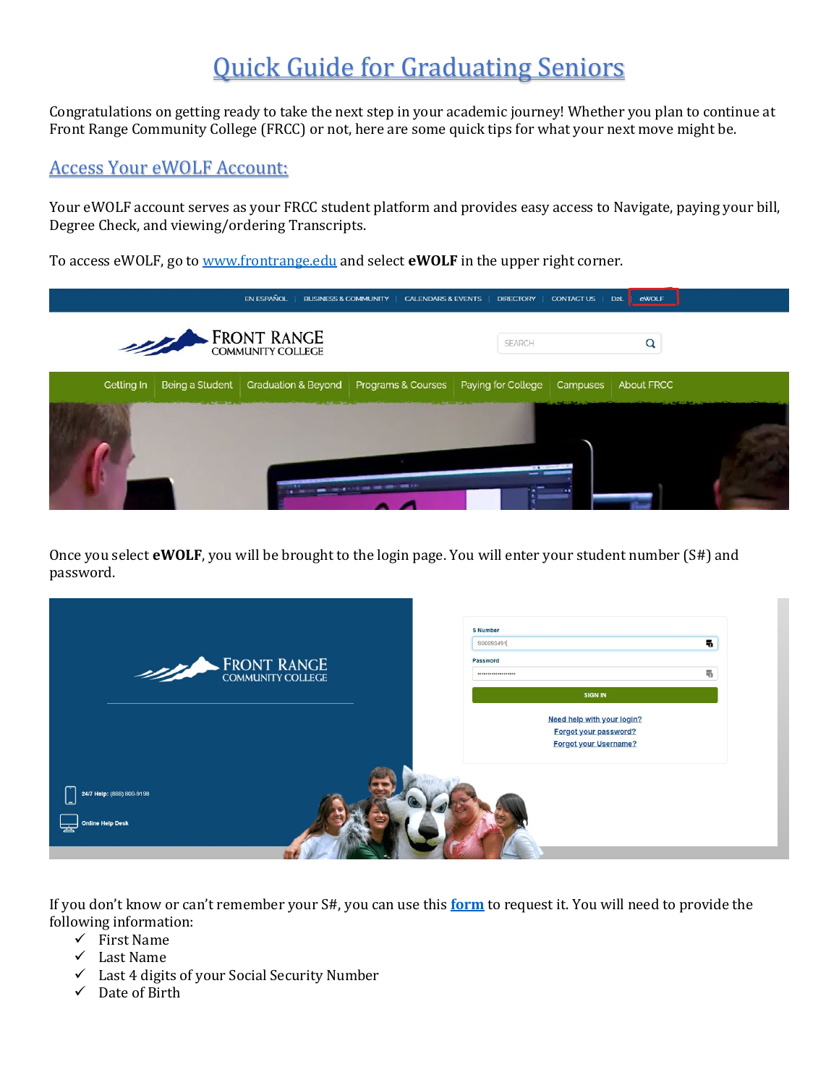# Quick Guide for Graduating Seniors

Congratulations on getting ready to take the next step in your academic journey! Whether you plan to continue at Front Range Community College (FRCC) or not, here are some quick tips for what your next move might be.

# Access Your eWOLF Account:

Your eWOLF account serves as your FRCC student platform and provides easy access to Navigate, paying your bill, Degree Check, and viewing/ordering Transcripts.

To access eWOLF, go to [www.frontrange.edu](http://www.frontrange.edu/) and select **eWOLF** in the upper right corner.



Once you select **eWOLF**, you will be brought to the login page. You will enter your student number (S#) and password.

| FRONT RANGE COMMUNITY COLLEGE                      | <b>S</b> Number<br>S00093491<br>Password<br>                                                          | 喝<br>黾 |
|----------------------------------------------------|-------------------------------------------------------------------------------------------------------|--------|
|                                                    | <b>SIGN IN</b><br>Need help with your login?<br>Forgot your password?<br><b>Forgot your Username?</b> |        |
| 24/7 Help: (888) 800-9198<br>닣<br>Online Help Desk |                                                                                                       |        |

If you don't know or can't remember your S#, you can use this **[form](https://erpdnssb.cccs.edu/PRODCCCS/cccsemail_reminder.cccs_get_snumb)** to request it. You will need to provide the following information:

- $\checkmark$  First Name
- $\checkmark$  Last Name
- $\checkmark$  Last 4 digits of your Social Security Number
- $\checkmark$  Date of Birth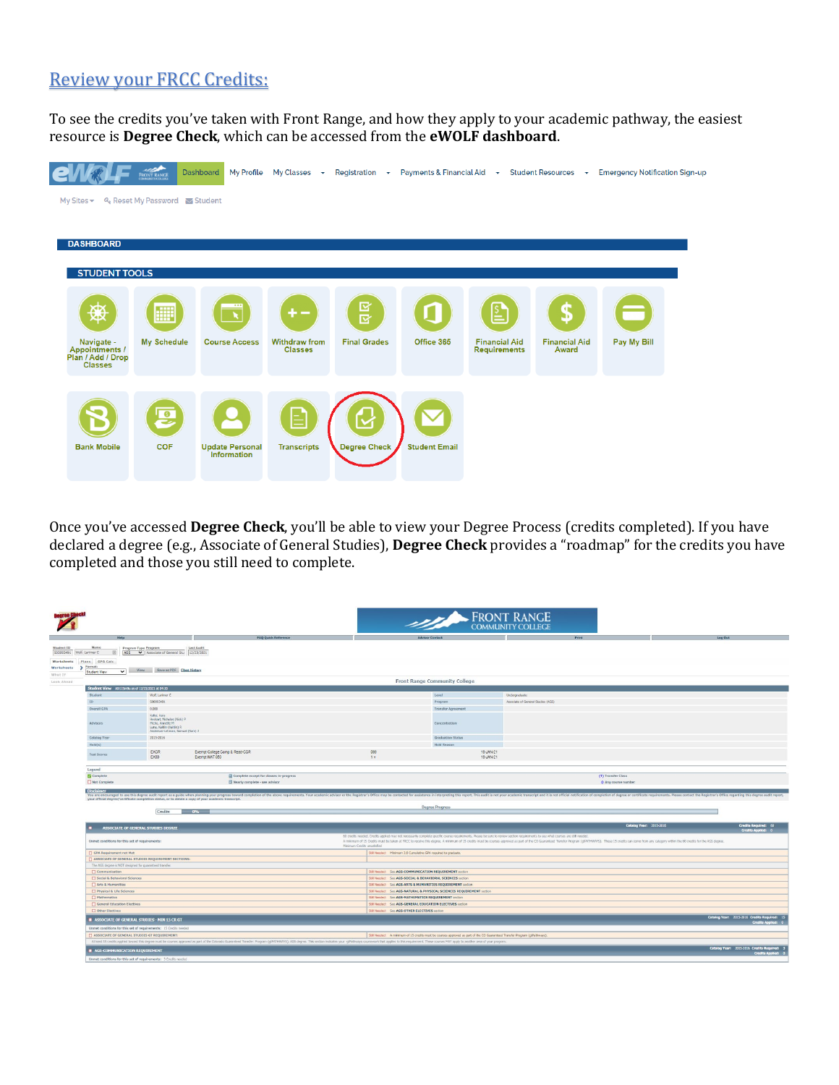# Review your FRCC Credits:

To see the credits you've taken with Front Range, and how they apply to your academic pathway, the easiest resource is **Degree Check**, which can be accessed from the **eWOLF dashboard**.



Once you've accessed **Degree Check**, you'll be able to view your Degree Process (credits completed). If you have declared a degree (e.g., Associate of General Studies), **Degree Check** provides a "roadmap" for the credits you have completed and those you still need to complete.

|                                                                                                                    |                                                                                                                                |                                                                                                                                                                                                                                |                             | <b>ERONT RANGE</b><br>COMMUNITY COLLEGE                                                                                                                                           |                                                                                                                                                                                                                                |                                                                       |
|--------------------------------------------------------------------------------------------------------------------|--------------------------------------------------------------------------------------------------------------------------------|--------------------------------------------------------------------------------------------------------------------------------------------------------------------------------------------------------------------------------|-----------------------------|-----------------------------------------------------------------------------------------------------------------------------------------------------------------------------------|--------------------------------------------------------------------------------------------------------------------------------------------------------------------------------------------------------------------------------|-----------------------------------------------------------------------|
| Help                                                                                                               |                                                                                                                                | <b>FAQ Quick Reference</b>                                                                                                                                                                                                     |                             | <b>Advisor Contact</b>                                                                                                                                                            | Print                                                                                                                                                                                                                          | Log Out                                                               |
| Name<br>S00093491 Wolf, Larimer C<br>AGS<br>Plans GPA Calc<br>Worksheets > Format:<br>$\mathbf{v}$<br>Student View | Program Type Program<br>Associate of General Stu   12/23/2021<br>View Save as PDF Class History                                | Last Audit                                                                                                                                                                                                                     |                             |                                                                                                                                                                                   |                                                                                                                                                                                                                                |                                                                       |
|                                                                                                                    |                                                                                                                                |                                                                                                                                                                                                                                |                             | <b>Front Range Community College</b>                                                                                                                                              |                                                                                                                                                                                                                                |                                                                       |
| Student View AD115m9u as of 12/23/2021 at 04:20                                                                    |                                                                                                                                |                                                                                                                                                                                                                                |                             |                                                                                                                                                                                   |                                                                                                                                                                                                                                |                                                                       |
| Student                                                                                                            | Wolf, Larimer C                                                                                                                |                                                                                                                                                                                                                                |                             | Level                                                                                                                                                                             | Undergraduate                                                                                                                                                                                                                  |                                                                       |
| ID                                                                                                                 | \$00093491                                                                                                                     |                                                                                                                                                                                                                                |                             | Program                                                                                                                                                                           | Associate of General Studies (AGS)                                                                                                                                                                                             |                                                                       |
| Overall GPA                                                                                                        | 0.000                                                                                                                          |                                                                                                                                                                                                                                |                             | <b>Transfer Agreement</b>                                                                                                                                                         |                                                                                                                                                                                                                                |                                                                       |
| Advisors                                                                                                           | Keller, Kara<br>Hockart, Nicholas (Nick) P<br>Micho, Annette M<br>Luna, Kaitlin (Kaitlin) R<br>Anderson-Lehman, Samuel (Sam) J |                                                                                                                                                                                                                                |                             | Concentration                                                                                                                                                                     |                                                                                                                                                                                                                                |                                                                       |
| Catalog Year                                                                                                       | 2015-2016                                                                                                                      |                                                                                                                                                                                                                                |                             | <b>Graduation Status</b>                                                                                                                                                          |                                                                                                                                                                                                                                |                                                                       |
| Hold(s)                                                                                                            |                                                                                                                                |                                                                                                                                                                                                                                |                             | <b>Hold Reason</b>                                                                                                                                                                |                                                                                                                                                                                                                                |                                                                       |
| Test Scores                                                                                                        | EXCR<br>EX50                                                                                                                   | Exempt College Comp & Read-CCR<br>Exempt MAT 050                                                                                                                                                                               | 099<br>$1 +$                | 18-JAN-21<br>18-JAN-21                                                                                                                                                            |                                                                                                                                                                                                                                |                                                                       |
|                                                                                                                    |                                                                                                                                | Complete except for classes in-progress<br>Nearly complete - see advisor                                                                                                                                                       |                             |                                                                                                                                                                                   | (T) Transfer Class<br>· Any course number                                                                                                                                                                                      |                                                                       |
|                                                                                                                    | your official degree/certificate completion status, or to obtain a copy of your academic transcript.                           |                                                                                                                                                                                                                                |                             |                                                                                                                                                                                   | You are encouraged to use this degree audit report as a guide when planning your progress toward completion of the above requirements. Your academic advisor or the Registrar's Office may be contacted for assistance in inte |                                                                       |
|                                                                                                                    | Credits                                                                                                                        |                                                                                                                                                                                                                                |                             | <b>Degree Progress</b>                                                                                                                                                            |                                                                                                                                                                                                                                |                                                                       |
|                                                                                                                    | ASSOCIATE OF GENERAL STUDIES DEGREE                                                                                            |                                                                                                                                                                                                                                |                             |                                                                                                                                                                                   |                                                                                                                                                                                                                                | Catalog Year: 2015-2016<br>Credits Required: 60<br>Credits Applied: 0 |
| Complete<br>Not Complete<br><b>Disclaimer</b>                                                                      |                                                                                                                                |                                                                                                                                                                                                                                |                             | 60 credits needed. Credits applied may not necessarily complete specific course requirements. Please be sure to review section nequirements to see what courses are still needed. |                                                                                                                                                                                                                                |                                                                       |
| Unmet conditions for this set of requirements:                                                                     |                                                                                                                                |                                                                                                                                                                                                                                | Minimum Credits unsatisfied |                                                                                                                                                                                   | A minimum of 15 Credits must be taken at FRCC to noone this degree. A minimum of 15 credits must be courses approved as part of the CO Guaranteed Transfer Program (gIPATHWAYS). These 15 credits can come from any category w |                                                                       |
|                                                                                                                    |                                                                                                                                |                                                                                                                                                                                                                                |                             |                                                                                                                                                                                   |                                                                                                                                                                                                                                |                                                                       |
| GPA Requirement not Met                                                                                            | ASSOCIATE OF GENERAL STUDIES REQUIREMENT SECTIONS:                                                                             |                                                                                                                                                                                                                                |                             | Still Needed: Ninimum 2.0 Cumulative GPA required to graduate.                                                                                                                    |                                                                                                                                                                                                                                |                                                                       |
| The AGS degree is NOT designed for guaranteed transfer.                                                            |                                                                                                                                |                                                                                                                                                                                                                                |                             |                                                                                                                                                                                   |                                                                                                                                                                                                                                |                                                                       |
| Communication                                                                                                      |                                                                                                                                |                                                                                                                                                                                                                                |                             | SUI Needed: See AGS-COMMUNICATION REQUIREMENT section                                                                                                                             |                                                                                                                                                                                                                                |                                                                       |
| Social & Behavioral Sciences                                                                                       |                                                                                                                                |                                                                                                                                                                                                                                |                             | SUI Needed: See AGS-SOCIAL & BEHAVIORAL SCIENCES section                                                                                                                          |                                                                                                                                                                                                                                |                                                                       |
| Arts & Humanities                                                                                                  |                                                                                                                                |                                                                                                                                                                                                                                |                             | SIR Needed: See AGS-ARTS & HUMANITIES REQUIREMENT section                                                                                                                         |                                                                                                                                                                                                                                |                                                                       |
| Physical & Life Sciences                                                                                           |                                                                                                                                |                                                                                                                                                                                                                                |                             | SUB Needed: See AGS-NATURAL & PHYSICAL SCIENCES REQUIREMENT section                                                                                                               |                                                                                                                                                                                                                                |                                                                       |
| Mathematics                                                                                                        |                                                                                                                                |                                                                                                                                                                                                                                |                             | SIR Needed: See AGS-MATHEMATICS REQUIREMENT section                                                                                                                               |                                                                                                                                                                                                                                |                                                                       |
| <b>D</b> General Education Electives                                                                               |                                                                                                                                |                                                                                                                                                                                                                                |                             | SIR Needed: See AGS-GENERAL EDUCATION ELECTIVES section                                                                                                                           |                                                                                                                                                                                                                                |                                                                       |
| Other Electives                                                                                                    |                                                                                                                                |                                                                                                                                                                                                                                |                             | SUI Needed: See AGS-OTHER ELECTIVES section                                                                                                                                       |                                                                                                                                                                                                                                |                                                                       |
|                                                                                                                    | ASSOCIATE OF GENERAL STUDIES - MIN 15 CR GT                                                                                    |                                                                                                                                                                                                                                |                             |                                                                                                                                                                                   |                                                                                                                                                                                                                                | Catalog Year: 2015-2016 Credits Required: 15                          |
|                                                                                                                    | Unmet conditions for this set of requirements: 15 Credits needed                                                               |                                                                                                                                                                                                                                |                             |                                                                                                                                                                                   |                                                                                                                                                                                                                                |                                                                       |
|                                                                                                                    | ASSOCIATE OF GENERAL STUDIES GT REQUIREMENT:                                                                                   |                                                                                                                                                                                                                                |                             | Still Needed: A minimum of 15 credits must be courses approved as part of the CO Guaranteed Transfer Program (ofPathways).                                                        |                                                                                                                                                                                                                                |                                                                       |
|                                                                                                                    |                                                                                                                                | At least 15 credits applied lowerd this degree must be courses approved as part of the Colorado Guaranteed Transfer: Program (gENTHWAYS), AGS degree. This section indicates your giPathways coursework that applies to this r |                             |                                                                                                                                                                                   |                                                                                                                                                                                                                                |                                                                       |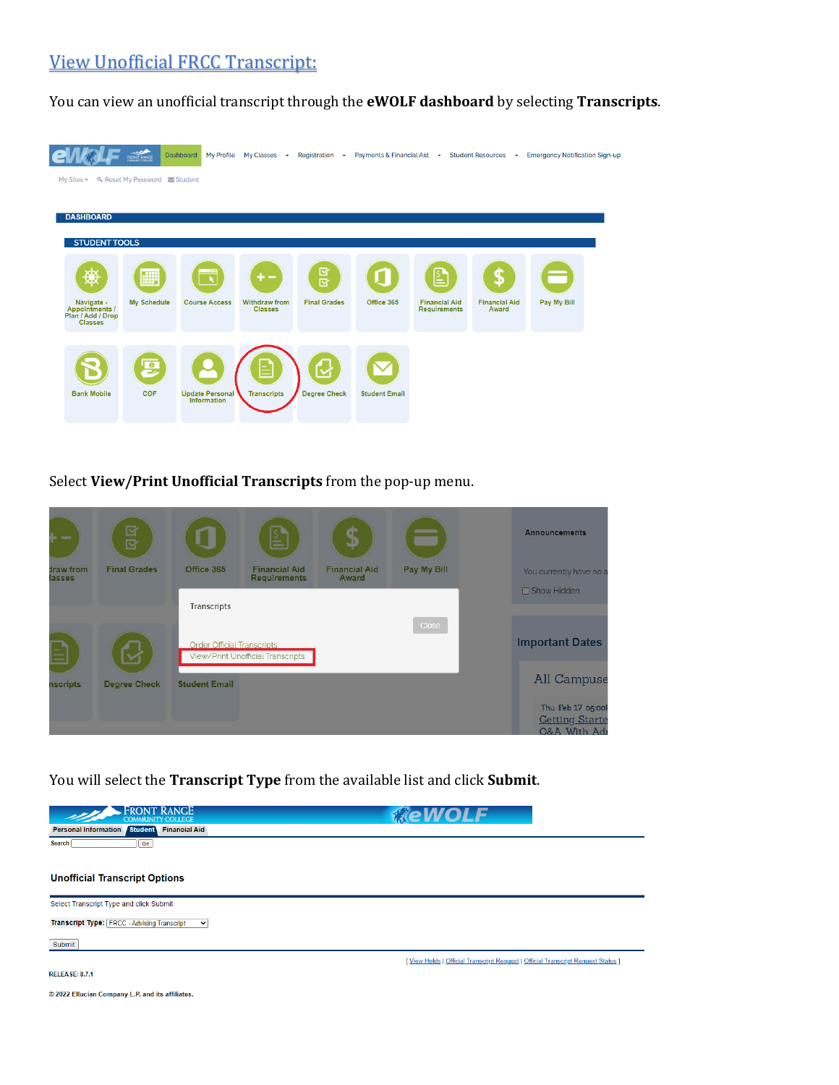# View Unofficial FRCC Transcript:

You can view an unofficial transcript through the **eWOLF dashboard** by selecting **Transcripts**.

|                                                                     | <b>FRONT RANCE</b>                  | <b>Dashboard</b><br><b>My Profile</b>               | $My Classes$ $\rightarrow$      | Registration $\rightarrow$ | Payments & Financial Aid $\rightarrow$ |                                             | Student Resources $\rightarrow$ | <b>Emergency Notification Sign-up</b> |  |
|---------------------------------------------------------------------|-------------------------------------|-----------------------------------------------------|---------------------------------|----------------------------|----------------------------------------|---------------------------------------------|---------------------------------|---------------------------------------|--|
| My Sites $\blacktriangledown$                                       | <b>4. Reset My Password Student</b> |                                                     |                                 |                            |                                        |                                             |                                 |                                       |  |
| <b>DASHBOARD</b>                                                    |                                     |                                                     |                                 |                            |                                        |                                             |                                 |                                       |  |
| <b>STUDENT TOOLS</b>                                                |                                     |                                                     |                                 |                            |                                        |                                             |                                 |                                       |  |
| ХIХ<br>₩                                                            | ∰                                   | $\overline{\phantom{a}}$<br>$\overline{\mathbf{x}}$ | +-                              | 区区                         |                                        | LΣ                                          | S                               | π                                     |  |
| Navigate -<br>Appointments /<br>Plan / Add / Drop<br><b>Classes</b> | <b>My Schedule</b>                  | <b>Course Access</b>                                | Withdraw from<br><b>Classes</b> | <b>Final Grades</b>        | Office 365                             | <b>Financial Aid</b><br><b>Requirements</b> | <b>Financial Aid</b><br>Award   | Pay My Bill                           |  |
|                                                                     |                                     |                                                     |                                 |                            |                                        |                                             |                                 |                                       |  |
| <b>Bank Mobile</b>                                                  | 厚<br><b>COF</b>                     | <b>Update Personal</b>                              | Ξ<br><b>Transcripts</b>         | ⊻<br><b>Degree Check</b>   | <b>Student Email</b>                   |                                             |                                 |                                       |  |
|                                                                     |                                     | Information                                         |                                 |                            |                                        |                                             |                                 |                                       |  |

Select **View/Print Unofficial Transcripts** from the pop-up menu.



You will select the **Transcript Type** from the available list and click **Submit**.

| <b>COMMUNITY COLLEGE</b>                                          | <b>ReWOLF</b>                                                                    |
|-------------------------------------------------------------------|----------------------------------------------------------------------------------|
| Personal Information Student Financial Aid                        |                                                                                  |
| Search<br>Go                                                      |                                                                                  |
|                                                                   |                                                                                  |
| <b>Unofficial Transcript Options</b>                              |                                                                                  |
| Select Transcript Type and click Submit                           |                                                                                  |
| <b>Transcript Type: FRCC - Advising Transcript</b><br>$\check{ }$ |                                                                                  |
| Submit                                                            |                                                                                  |
|                                                                   | [View Holds   Official Transcript Request   Official Transcript Request Status ] |
| <b>RELEASE: 8.7.1</b>                                             |                                                                                  |
| © 2022 Ellucian Company L.P. and its affiliates.                  |                                                                                  |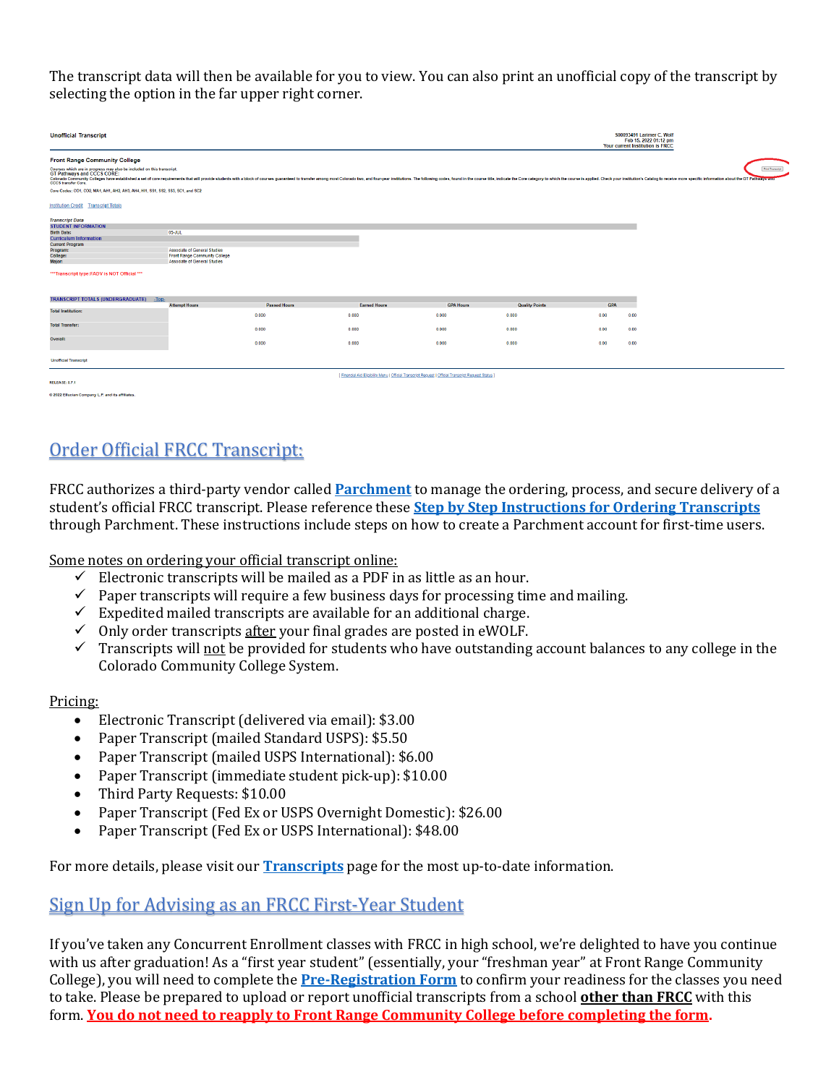The transcript data will then be available for you to view. You can also print an unofficial copy of the transcript by selecting the option in the far upper right corner.

| <b>Unofficial Transcript</b>                                                                                                              |                               |                     |                                                                                                     |                  |                       |            | <b>S00093491 Larimer C. Wolf</b><br>Feb 15, 2022 01:12 pm<br>Your current Institution is FRCC                                                                                                                                                      |
|-------------------------------------------------------------------------------------------------------------------------------------------|-------------------------------|---------------------|-----------------------------------------------------------------------------------------------------|------------------|-----------------------|------------|----------------------------------------------------------------------------------------------------------------------------------------------------------------------------------------------------------------------------------------------------|
| <b>Front Range Community College</b>                                                                                                      |                               |                     |                                                                                                     |                  |                       |            |                                                                                                                                                                                                                                                    |
| Courses which are in progress may also be included on this transcript.<br><b>GT Pathways and CCCS CORE:</b><br><b>CCCS</b> transfer Core. |                               |                     |                                                                                                     |                  |                       |            | Print Transcript<br>Colorado Community Colleges have established a set of core requirements that will provide students with a block of courses guaranteed to transfer among most Colorado two, and four vear institutions. The following codes, fo |
| Core Codes: CO1, CO2, MA1, AH1, AH2, AH3, AH4, HI1, SS1, SS2, SS3, SC1, and SC2                                                           |                               |                     |                                                                                                     |                  |                       |            |                                                                                                                                                                                                                                                    |
| <b>Institution Credit Transcript Totals</b>                                                                                               |                               |                     |                                                                                                     |                  |                       |            |                                                                                                                                                                                                                                                    |
| <b>Transcript Data</b>                                                                                                                    |                               |                     |                                                                                                     |                  |                       |            |                                                                                                                                                                                                                                                    |
| <b>STUDENT INFORMATION</b>                                                                                                                |                               |                     |                                                                                                     |                  |                       |            |                                                                                                                                                                                                                                                    |
| <b>Birth Date:</b>                                                                                                                        | 05-JUL                        |                     |                                                                                                     |                  |                       |            |                                                                                                                                                                                                                                                    |
| <b>Curriculum Information</b>                                                                                                             |                               |                     |                                                                                                     |                  |                       |            |                                                                                                                                                                                                                                                    |
| <b>Current Program</b>                                                                                                                    |                               |                     |                                                                                                     |                  |                       |            |                                                                                                                                                                                                                                                    |
| Program:                                                                                                                                  | Associate of General Studies  |                     |                                                                                                     |                  |                       |            |                                                                                                                                                                                                                                                    |
| College:                                                                                                                                  | Front Range Community College |                     |                                                                                                     |                  |                       |            |                                                                                                                                                                                                                                                    |
| Major:                                                                                                                                    | Associate of General Studies  |                     |                                                                                                     |                  |                       |            |                                                                                                                                                                                                                                                    |
| *** Transcript type: FADV is NOT Official ***                                                                                             |                               |                     |                                                                                                     |                  |                       |            |                                                                                                                                                                                                                                                    |
| TRANSCRIPT TOTALS (UNDERGRADUATE) -Top-                                                                                                   |                               |                     |                                                                                                     |                  |                       |            |                                                                                                                                                                                                                                                    |
|                                                                                                                                           | <b>Attempt Hours</b>          | <b>Passed Hours</b> | <b>Earned Hours</b>                                                                                 | <b>GPA Hours</b> | <b>Quality Points</b> | <b>GPA</b> |                                                                                                                                                                                                                                                    |
| <b>Total Institution:</b>                                                                                                                 |                               | 0.000               | 0.000                                                                                               | 0.000            | 0.000                 | 0.00       | 0.00                                                                                                                                                                                                                                               |
| <b>Total Transfer:</b>                                                                                                                    |                               | 0.000               | 0.000                                                                                               | 0.000            | 0.000                 | 0.00       | 0.00                                                                                                                                                                                                                                               |
| Overall:                                                                                                                                  |                               | 0.000               | 0.000                                                                                               | 0.000            | 0.000                 | 0.00       | 0.00                                                                                                                                                                                                                                               |
| <b>Unofficial Transcript</b>                                                                                                              |                               |                     |                                                                                                     |                  |                       |            |                                                                                                                                                                                                                                                    |
| <b>RELEASE: 8.7.1</b>                                                                                                                     |                               |                     | [ Financial Aid Eligibility Menu   Official Transcript Request   Official Transcript Request Status |                  |                       |            |                                                                                                                                                                                                                                                    |
| A 5855 FRIDAY CAMAROLLE BLACK HA ARRIVED                                                                                                  |                               |                     |                                                                                                     |                  |                       |            |                                                                                                                                                                                                                                                    |

# Order Official FRCC Transcript:

FRCC authorizes a third-party vendor called **[Parchment](https://exchange.parchment.com/send/adds/index.php?main_page=login&s_id=DqFu5qKqEQ7ThdHk)** to manage the ordering, process, and secure delivery of a student's official FRCC transcript. Please reference these **[Step by Step Instructions for Ordering Transcripts](https://cdn.cccs.edu/students/Order%20Transcripts%20Step%20by%20Step%20Current%20Student.pdf)** through Parchment. These instructions include steps on how to create a Parchment account for first-time users.

Some notes on ordering your official transcript online:

- $\checkmark$  Electronic transcripts will be mailed as a PDF in as little as an hour.
- $\checkmark$  Paper transcripts will require a few business days for processing time and mailing.
- $\checkmark$  Expedited mailed transcripts are available for an additional charge.
- $\checkmark$  Only order transcripts after your final grades are posted in eWOLF.
- $\checkmark$  Transcripts will not be provided for students who have outstanding account balances to any college in the Colorado Community College System.

#### Pricing:

- Electronic Transcript (delivered via email): \$3.00
- Paper Transcript (mailed Standard USPS): \$5.50
- Paper Transcript (mailed USPS International): \$6.00
- Paper Transcript (immediate student pick-up): \$10.00
- Third Party Requests: \$10.00
- Paper Transcript (Fed Ex or USPS Overnight Domestic): \$26.00
- Paper Transcript (Fed Ex or USPS International): \$48.00

For more details, please visit our **[Transcripts](https://www.frontrange.edu/graduation-and-beyond/transcripts)** page for the most up-to-date information.

#### Sign Up for Advising as an FRCC First-Year Student

If you've taken any Concurrent Enrollment classes with FRCC in high school, we're delighted to have you continue with us after graduation! As a "first year student" (essentially, your "freshman year" at Front Range Community College), you will need to complete the **[Pre-Registration Form](https://frontrange.formstack.com/forms/pre_registration)** to confirm your readiness for the classes you need to take. Please be prepared to upload or report unofficial transcripts from a school **other than FRCC** with this form. **You do not need to reapply to Front Range Community College before completing the form.**